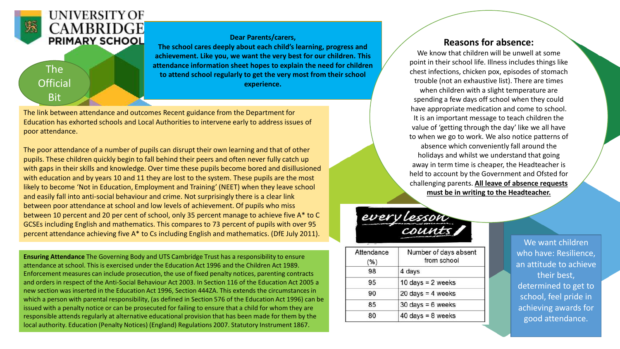

### **UNIVERSITY OF CAMBRIDGE PRIMARY SCHOOL**

## The **Official Bit**

**Dear Parents/carers,**

**The school cares deeply about each child's learning, progress and achievement. Like you, we want the very best for our children. This attendance information sheet hopes to explain the need for children to attend school regularly to get the very most from their school experience.**

The link between attendance and outcomes Recent guidance from the Department for Education has exhorted schools and Local Authorities to intervene early to address issues of poor attendance.

The poor attendance of a number of pupils can disrupt their own learning and that of other pupils. These children quickly begin to fall behind their peers and often never fully catch up with gaps in their skills and knowledge. Over time these pupils become bored and disillusioned with education and by years 10 and 11 they are lost to the system. These pupils are the most likely to become 'Not in Education, Employment and Training' (NEET) when they leave school and easily fall into anti-social behaviour and crime. Not surprisingly there is a clear link between poor attendance at school and low levels of achievement. Of pupils who miss between 10 percent and 20 per cent of school, only 35 percent manage to achieve five A\* to C GCSEs including English and mathematics. This compares to 73 percent of pupils with over 95 percent attendance achieving five A\* to Cs including English and mathematics. (DfE July 2011).

**Ensuring Attendance** The Governing Body and UTS Cambridge Trust has a responsibility to ensure attendance at school. This is exercised under the Education Act 1996 and the Children Act 1989. Enforcement measures can include prosecution, the use of fixed penalty notices, parenting contracts and orders in respect of the Anti-Social Behaviour Act 2003. In Section 116 of the Education Act 2005 a new section was inserted in the Education Act 1996, Section 444ZA. This extends the circumstances in which a person with parental responsibility, (as defined in Section 576 of the Education Act 1996) can be issued with a penalty notice or can be prosecuted for failing to ensure that a child for whom they are responsible attends regularly at alternative educational provision that has been made for them by the local authority. Education (Penalty Notices) (England) Regulations 2007. Statutory Instrument 1867.

### **Reasons for absence:**

We know that children will be unwell at some point in their school life. Illness includes things like chest infections, chicken pox, episodes of stomach trouble (not an exhaustive list). There are times when children with a slight temperature are spending a few days off school when they could have appropriate medication and come to school. It is an important message to teach children the value of 'getting through the day' like we all have to when we go to work. We also notice patterns of absence which conveniently fall around the holidays and whilst we understand that going away in term time is cheaper, the Headteacher is held to account by the Government and Ofsted for challenging parents. **All leave of absence requests must be in writing to the Headteacher.**

# every lesson

| Attendance<br>(%) | Number of days absent<br>from school |  |  |
|-------------------|--------------------------------------|--|--|
| 98                | 4 days                               |  |  |
| 95                | 10 days = $2$ weeks                  |  |  |
| 90                | $20 \text{ days} = 4 \text{ weeks}$  |  |  |
| 85                | $30 \text{ days} = 6 \text{ weeks}$  |  |  |
| 80                | $40 \text{ days} = 8 \text{ weeks}$  |  |  |

We want children who have: Resilience, an attitude to achieve their best, determined to get to school, feel pride in achieving awards for good attendance.